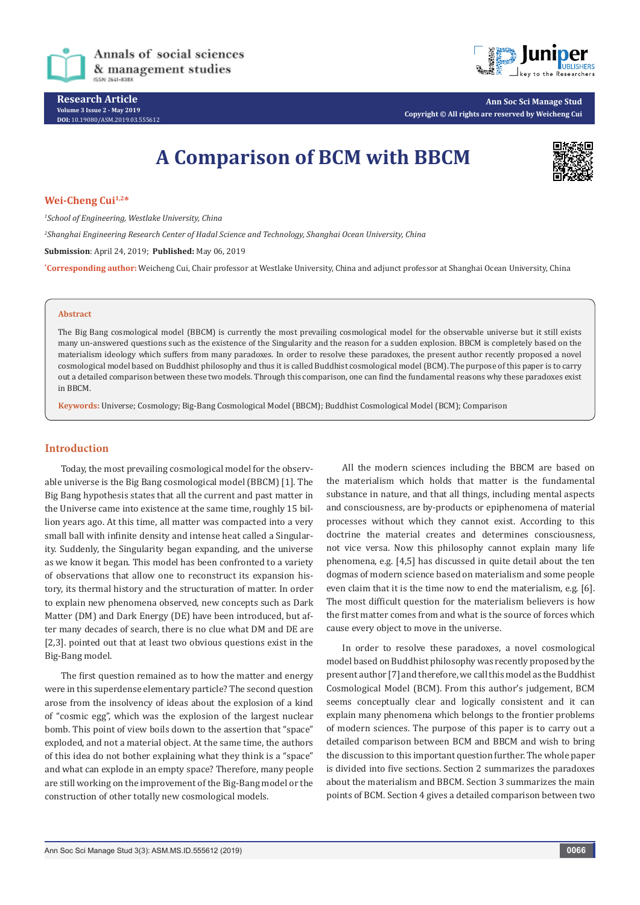

**Research Article Volume 3 Issue 2 - May 2019 DOI:** [10.19080/ASM.2019.03.555612](http://dx.doi.org/10.19080/ASM.2019.03.555612)



**Ann Soc Sci Manage Stud Copyright © All rights are reserved by Weicheng Cui**

# **A Comparison of BCM with BBCM**



#### **Wei-Cheng Cui1,2\***

*1 School of Engineering, Westlake University, China*

*2 Shanghai Engineering Research Center of Hadal Science and Technology, Shanghai Ocean University, China*

**Submission**: April 24, 2019; **Published:** May 06, 2019

**\* Corresponding author:** Weicheng Cui, Chair professor at Westlake University, China and adjunct professor at Shanghai Ocean University, China

#### **Abstract**

The Big Bang cosmological model (BBCM) is currently the most prevailing cosmological model for the observable universe but it still exists many un-answered questions such as the existence of the Singularity and the reason for a sudden explosion. BBCM is completely based on the materialism ideology which suffers from many paradoxes. In order to resolve these paradoxes, the present author recently proposed a novel cosmological model based on Buddhist philosophy and thus it is called Buddhist cosmological model (BCM). The purpose of this paper is to carry out a detailed comparison between these two models. Through this comparison, one can find the fundamental reasons why these paradoxes exist in BBCM.

**Keywords:** Universe; Cosmology; Big-Bang Cosmological Model (BBCM); Buddhist Cosmological Model (BCM); Comparison

#### **Introduction**

Today, the most prevailing cosmological model for the observable universe is the Big Bang cosmological model (BBCM) [1]. The Big Bang hypothesis states that all the current and past matter in the Universe came into existence at the same time, roughly 15 billion years ago. At this time, all matter was compacted into a very small ball with infinite density and intense heat called a Singularity. Suddenly, the Singularity began expanding, and the universe as we know it began. This model has been confronted to a variety of observations that allow one to reconstruct its expansion history, its thermal history and the structuration of matter. In order to explain new phenomena observed, new concepts such as Dark Matter (DM) and Dark Energy (DE) have been introduced, but after many decades of search, there is no clue what DM and DE are [2,3]. pointed out that at least two obvious questions exist in the Big-Bang model.

The first question remained as to how the matter and energy were in this superdense elementary particle? The second question arose from the insolvency of ideas about the explosion of a kind of "cosmic egg", which was the explosion of the largest nuclear bomb. This point of view boils down to the assertion that "space" exploded, and not a material object. At the same time, the authors of this idea do not bother explaining what they think is a "space" and what can explode in an empty space? Therefore, many people are still working on the improvement of the Big-Bang model or the construction of other totally new cosmological models.

All the modern sciences including the BBCM are based on the materialism which holds that matter is the fundamental substance in nature, and that all things, including mental aspects and consciousness, are by-products or epiphenomena of material processes without which they cannot exist. According to this doctrine the material creates and determines consciousness, not vice versa. Now this philosophy cannot explain many life phenomena, e.g. [4,5] has discussed in quite detail about the ten dogmas of modern science based on materialism and some people even claim that it is the time now to end the materialism, e.g. [6]. The most difficult question for the materialism believers is how the first matter comes from and what is the source of forces which cause every object to move in the universe.

In order to resolve these paradoxes, a novel cosmological model based on Buddhist philosophy was recently proposed by the present author [7] and therefore, we call this model as the Buddhist Cosmological Model (BCM). From this author's judgement, BCM seems conceptually clear and logically consistent and it can explain many phenomena which belongs to the frontier problems of modern sciences. The purpose of this paper is to carry out a detailed comparison between BCM and BBCM and wish to bring the discussion to this important question further. The whole paper is divided into five sections. Section 2 summarizes the paradoxes about the materialism and BBCM. Section 3 summarizes the main points of BCM. Section 4 gives a detailed comparison between two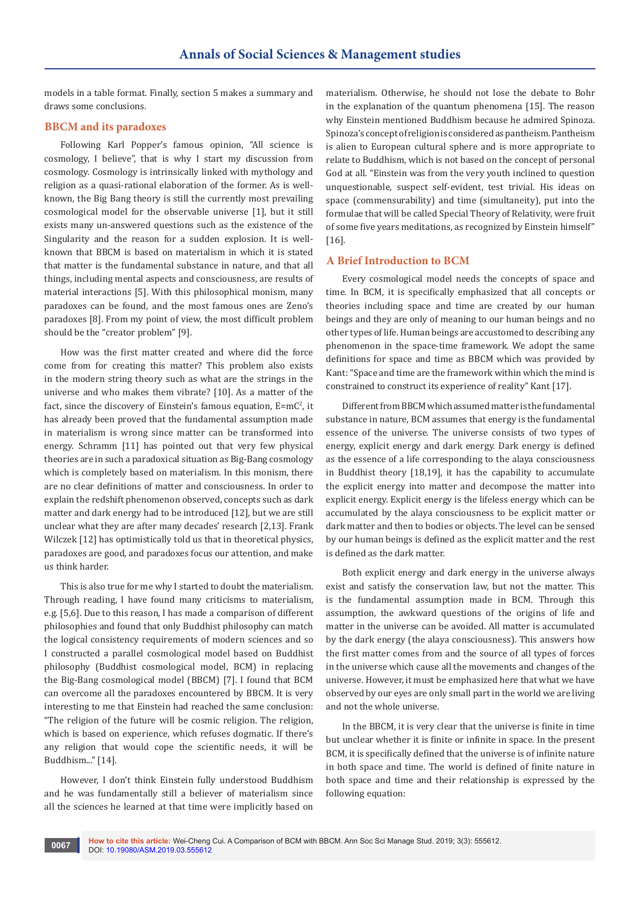models in a table format. Finally, section 5 makes a summary and draws some conclusions.

#### **BBCM and its paradoxes**

Following Karl Popper's famous opinion, "All science is cosmology, I believe", that is why I start my discussion from cosmology. Cosmology is intrinsically linked with mythology and religion as a quasi-rational elaboration of the former. As is wellknown, the Big Bang theory is still the currently most prevailing cosmological model for the observable universe [1], but it still exists many un-answered questions such as the existence of the Singularity and the reason for a sudden explosion. It is wellknown that BBCM is based on materialism in which it is stated that matter is the fundamental substance in nature, and that all things, including mental aspects and consciousness, are results of material interactions [5]. With this philosophical monism, many paradoxes can be found, and the most famous ones are Zeno's paradoxes [8]. From my point of view, the most difficult problem should be the "creator problem" [9].

How was the first matter created and where did the force come from for creating this matter? This problem also exists in the modern string theory such as what are the strings in the universe and who makes them vibrate? [10]. As a matter of the fact, since the discovery of Einstein's famous equation,  $E=mc^2$ , it has already been proved that the fundamental assumption made in materialism is wrong since matter can be transformed into energy. Schramm [11] has pointed out that very few physical theories are in such a paradoxical situation as Big-Bang cosmology which is completely based on materialism. In this monism, there are no clear definitions of matter and consciousness. In order to explain the redshift phenomenon observed, concepts such as dark matter and dark energy had to be introduced [12], but we are still unclear what they are after many decades' research [2,13]. Frank Wilczek [12] has optimistically told us that in theoretical physics, paradoxes are good, and paradoxes focus our attention, and make us think harder.

This is also true for me why I started to doubt the materialism. Through reading, I have found many criticisms to materialism, e.g. [5,6]. Due to this reason, I has made a comparison of different philosophies and found that only Buddhist philosophy can match the logical consistency requirements of modern sciences and so I constructed a parallel cosmological model based on Buddhist philosophy (Buddhist cosmological model, BCM) in replacing the Big-Bang cosmological model (BBCM) [7]. I found that BCM can overcome all the paradoxes encountered by BBCM. It is very interesting to me that Einstein had reached the same conclusion: "The religion of the future will be cosmic religion. The religion, which is based on experience, which refuses dogmatic. If there's any religion that would cope the scientific needs, it will be Buddhism..." [14].

However, I don't think Einstein fully understood Buddhism and he was fundamentally still a believer of materialism since all the sciences he learned at that time were implicitly based on

materialism. Otherwise, he should not lose the debate to Bohr in the explanation of the quantum phenomena [15]. The reason why Einstein mentioned Buddhism because he admired Spinoza. Spinoza's concept of religion is considered as pantheism. Pantheism is alien to European cultural sphere and is more appropriate to relate to Buddhism, which is not based on the concept of personal God at all. "Einstein was from the very youth inclined to question unquestionable, suspect self-evident, test trivial. His ideas on space (commensurability) and time (simultaneity), put into the formulae that will be called Special Theory of Relativity, were fruit of some five years meditations, as recognized by Einstein himself" [16].

#### **A Brief Introduction to BCM**

Every cosmological model needs the concepts of space and time. In BCM, it is specifically emphasized that all concepts or theories including space and time are created by our human beings and they are only of meaning to our human beings and no other types of life. Human beings are accustomed to describing any phenomenon in the space-time framework. We adopt the same definitions for space and time as BBCM which was provided by Kant: "Space and time are the framework within which the mind is constrained to construct its experience of reality" Kant [17].

Different from BBCM which assumed matter is the fundamental substance in nature, BCM assumes that energy is the fundamental essence of the universe. The universe consists of two types of energy, explicit energy and dark energy. Dark energy is defined as the essence of a life corresponding to the alaya consciousness in Buddhist theory [18,19], it has the capability to accumulate the explicit energy into matter and decompose the matter into explicit energy. Explicit energy is the lifeless energy which can be accumulated by the alaya consciousness to be explicit matter or dark matter and then to bodies or objects. The level can be sensed by our human beings is defined as the explicit matter and the rest is defined as the dark matter.

Both explicit energy and dark energy in the universe always exist and satisfy the conservation law, but not the matter. This is the fundamental assumption made in BCM. Through this assumption, the awkward questions of the origins of life and matter in the universe can be avoided. All matter is accumulated by the dark energy (the alaya consciousness). This answers how the first matter comes from and the source of all types of forces in the universe which cause all the movements and changes of the universe. However, it must be emphasized here that what we have observed by our eyes are only small part in the world we are living and not the whole universe.

In the BBCM, it is very clear that the universe is finite in time but unclear whether it is finite or infinite in space. In the present BCM, it is specifically defined that the universe is of infinite nature in both space and time. The world is defined of finite nature in both space and time and their relationship is expressed by the following equation: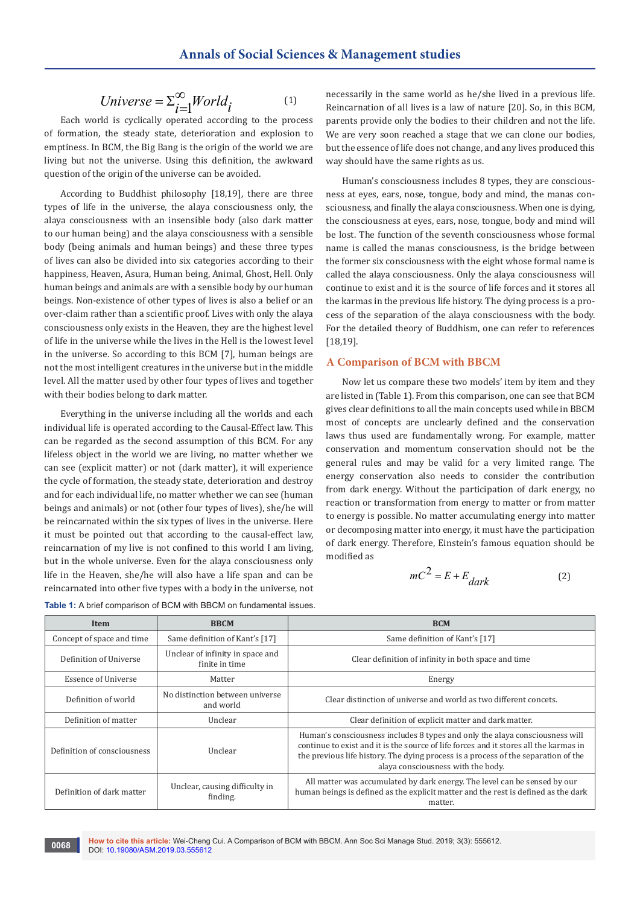$$
Universe = \sum_{i=1}^{\infty} World_i \tag{1}
$$

Each world is cyclically operated according to the process of formation, the steady state, deterioration and explosion to emptiness. In BCM, the Big Bang is the origin of the world we are living but not the universe. Using this definition, the awkward question of the origin of the universe can be avoided.

According to Buddhist philosophy [18,19], there are three types of life in the universe, the alaya consciousness only, the alaya consciousness with an insensible body (also dark matter to our human being) and the alaya consciousness with a sensible body (being animals and human beings) and these three types of lives can also be divided into six categories according to their happiness, Heaven, Asura, Human being, Animal, Ghost, Hell. Only human beings and animals are with a sensible body by our human beings. Non-existence of other types of lives is also a belief or an over-claim rather than a scientific proof. Lives with only the alaya consciousness only exists in the Heaven, they are the highest level of life in the universe while the lives in the Hell is the lowest level in the universe. So according to this BCM [7], human beings are not the most intelligent creatures in the universe but in the middle level. All the matter used by other four types of lives and together with their bodies belong to dark matter.

Everything in the universe including all the worlds and each individual life is operated according to the Causal-Effect law. This can be regarded as the second assumption of this BCM. For any lifeless object in the world we are living, no matter whether we can see (explicit matter) or not (dark matter), it will experience the cycle of formation, the steady state, deterioration and destroy and for each individual life, no matter whether we can see (human beings and animals) or not (other four types of lives), she/he will be reincarnated within the six types of lives in the universe. Here it must be pointed out that according to the causal-effect law, reincarnation of my live is not confined to this world I am living, but in the whole universe. Even for the alaya consciousness only life in the Heaven, she/he will also have a life span and can be reincarnated into other five types with a body in the universe, not necessarily in the same world as he/she lived in a previous life. Reincarnation of all lives is a law of nature [20]. So, in this BCM, parents provide only the bodies to their children and not the life. We are very soon reached a stage that we can clone our bodies, but the essence of life does not change, and any lives produced this way should have the same rights as us.

Human's consciousness includes 8 types, they are consciousness at eyes, ears, nose, tongue, body and mind, the manas consciousness, and finally the alaya consciousness. When one is dying, the consciousness at eyes, ears, nose, tongue, body and mind will be lost. The function of the seventh consciousness whose formal name is called the manas consciousness, is the bridge between the former six consciousness with the eight whose formal name is called the alaya consciousness. Only the alaya consciousness will continue to exist and it is the source of life forces and it stores all the karmas in the previous life history. The dying process is a process of the separation of the alaya consciousness with the body. For the detailed theory of Buddhism, one can refer to references [18,19].

#### **A Comparison of BCM with BBCM**

Now let us compare these two models' item by item and they are listed in (Table 1). From this comparison, one can see that BCM gives clear definitions to all the main concepts used while in BBCM most of concepts are unclearly defined and the conservation laws thus used are fundamentally wrong. For example, matter conservation and momentum conservation should not be the general rules and may be valid for a very limited range. The energy conservation also needs to consider the contribution from dark energy. Without the participation of dark energy, no reaction or transformation from energy to matter or from matter to energy is possible. No matter accumulating energy into matter or decomposing matter into energy, it must have the participation of dark energy. Therefore, Einstein's famous equation should be modified as

$$
mC^2 = E + E_{dark}
$$
 (2)

| Item                        | <b>BBCM</b>                                        | <b>BCM</b>                                                                                                                                                                                                                                                                                        |
|-----------------------------|----------------------------------------------------|---------------------------------------------------------------------------------------------------------------------------------------------------------------------------------------------------------------------------------------------------------------------------------------------------|
| Concept of space and time   | Same definition of Kant's [17]                     | Same definition of Kant's [17]                                                                                                                                                                                                                                                                    |
| Definition of Universe      | Unclear of infinity in space and<br>finite in time | Clear definition of infinity in both space and time                                                                                                                                                                                                                                               |
| <b>Essence of Universe</b>  | Matter                                             | Energy                                                                                                                                                                                                                                                                                            |
| Definition of world         | No distinction between universe<br>and world       | Clear distinction of universe and world as two different concets.                                                                                                                                                                                                                                 |
| Definition of matter        | Unclear                                            | Clear definition of explicit matter and dark matter.                                                                                                                                                                                                                                              |
| Definition of consciousness | Unclear                                            | Human's consciousness includes 8 types and only the alaya consciousness will<br>continue to exist and it is the source of life forces and it stores all the karmas in<br>the previous life history. The dying process is a process of the separation of the<br>alaya consciousness with the body. |
| Definition of dark matter   | Unclear, causing difficulty in<br>finding.         | All matter was accumulated by dark energy. The level can be sensed by our<br>human beings is defined as the explicit matter and the rest is defined as the dark<br>matter.                                                                                                                        |

**Table 1:** A brief comparison of BCM with BBCM on fundamental issues.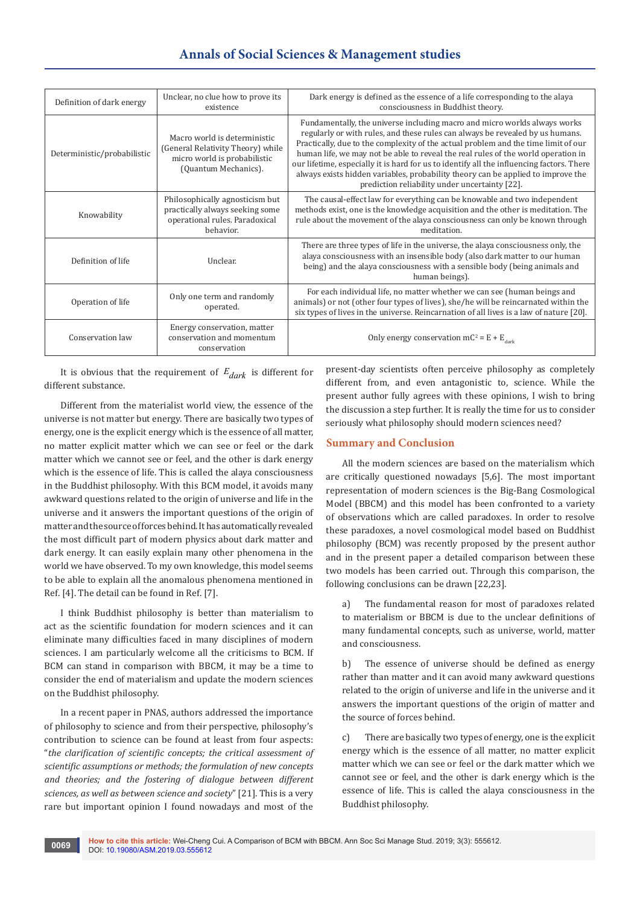## **Annals of Social Sciences & Management studies**

| Definition of dark energy   | Unclear, no clue how to prove its<br>existence                                                                            | Dark energy is defined as the essence of a life corresponding to the alaya<br>consciousness in Buddhist theory.                                                                                                                                                                                                                                                                                                                                                                                                                                                          |
|-----------------------------|---------------------------------------------------------------------------------------------------------------------------|--------------------------------------------------------------------------------------------------------------------------------------------------------------------------------------------------------------------------------------------------------------------------------------------------------------------------------------------------------------------------------------------------------------------------------------------------------------------------------------------------------------------------------------------------------------------------|
| Deterministic/probabilistic | Macro world is deterministic<br>(General Relativity Theory) while<br>micro world is probabilistic<br>(Quantum Mechanics). | Fundamentally, the universe including macro and micro worlds always works<br>regularly or with rules, and these rules can always be revealed by us humans.<br>Practically, due to the complexity of the actual problem and the time limit of our<br>human life, we may not be able to reveal the real rules of the world operation in<br>our lifetime, especially it is hard for us to identify all the influencing factors. There<br>always exists hidden variables, probability theory can be applied to improve the<br>prediction reliability under uncertainty [22]. |
| Knowability                 | Philosophically agnosticism but<br>practically always seeking some<br>operational rules. Paradoxical<br>behavior.         | The causal-effect law for everything can be knowable and two independent<br>methods exist, one is the knowledge acquisition and the other is meditation. The<br>rule about the movement of the alaya consciousness can only be known through<br>meditation.                                                                                                                                                                                                                                                                                                              |
| Definition of life          | Unclear.                                                                                                                  | There are three types of life in the universe, the alaya consciousness only, the<br>alaya consciousness with an insensible body (also dark matter to our human<br>being) and the alaya consciousness with a sensible body (being animals and<br>human beings).                                                                                                                                                                                                                                                                                                           |
| Operation of life           | Only one term and randomly<br>operated.                                                                                   | For each individual life, no matter whether we can see (human beings and<br>animals) or not (other four types of lives), she/he will be reincarnated within the<br>six types of lives in the universe. Reincarnation of all lives is a law of nature [20].                                                                                                                                                                                                                                                                                                               |
| Conservation law            | Energy conservation, matter<br>conservation and momentum<br>conservation                                                  | Only energy conservation $mc^2 = E + E_{dark}$                                                                                                                                                                                                                                                                                                                                                                                                                                                                                                                           |

It is obvious that the requirement of  $E_{dark}$  is different for different substance.

Different from the materialist world view, the essence of the universe is not matter but energy. There are basically two types of energy, one is the explicit energy which is the essence of all matter, no matter explicit matter which we can see or feel or the dark matter which we cannot see or feel, and the other is dark energy which is the essence of life. This is called the alaya consciousness in the Buddhist philosophy. With this BCM model, it avoids many awkward questions related to the origin of universe and life in the universe and it answers the important questions of the origin of matter and the source of forces behind. It has automatically revealed the most difficult part of modern physics about dark matter and dark energy. It can easily explain many other phenomena in the world we have observed. To my own knowledge, this model seems to be able to explain all the anomalous phenomena mentioned in Ref. [4]. The detail can be found in Ref. [7].

I think Buddhist philosophy is better than materialism to act as the scientific foundation for modern sciences and it can eliminate many difficulties faced in many disciplines of modern sciences. I am particularly welcome all the criticisms to BCM. If BCM can stand in comparison with BBCM, it may be a time to consider the end of materialism and update the modern sciences on the Buddhist philosophy.

In a recent paper in PNAS, authors addressed the importance of philosophy to science and from their perspective, philosophy's contribution to science can be found at least from four aspects: "*the clarification of scientific concepts; the critical assessment of scientific assumptions or methods; the formulation of new concepts and theories; and the fostering of dialogue between different sciences, as well as between science and society*" [21]. This is a very rare but important opinion I found nowadays and most of the

present-day scientists often perceive philosophy as completely different from, and even antagonistic to, science. While the present author fully agrees with these opinions, I wish to bring the discussion a step further. It is really the time for us to consider seriously what philosophy should modern sciences need?

### **Summary and Conclusion**

All the modern sciences are based on the materialism which are critically questioned nowadays [5,6]. The most important representation of modern sciences is the Big-Bang Cosmological Model (BBCM) and this model has been confronted to a variety of observations which are called paradoxes. In order to resolve these paradoxes, a novel cosmological model based on Buddhist philosophy (BCM) was recently proposed by the present author and in the present paper a detailed comparison between these two models has been carried out. Through this comparison, the following conclusions can be drawn [22,23].

a) The fundamental reason for most of paradoxes related to materialism or BBCM is due to the unclear definitions of many fundamental concepts, such as universe, world, matter and consciousness.

b) The essence of universe should be defined as energy rather than matter and it can avoid many awkward questions related to the origin of universe and life in the universe and it answers the important questions of the origin of matter and the source of forces behind.

c) There are basically two types of energy, one is the explicit energy which is the essence of all matter, no matter explicit matter which we can see or feel or the dark matter which we cannot see or feel, and the other is dark energy which is the essence of life. This is called the alaya consciousness in the Buddhist philosophy.